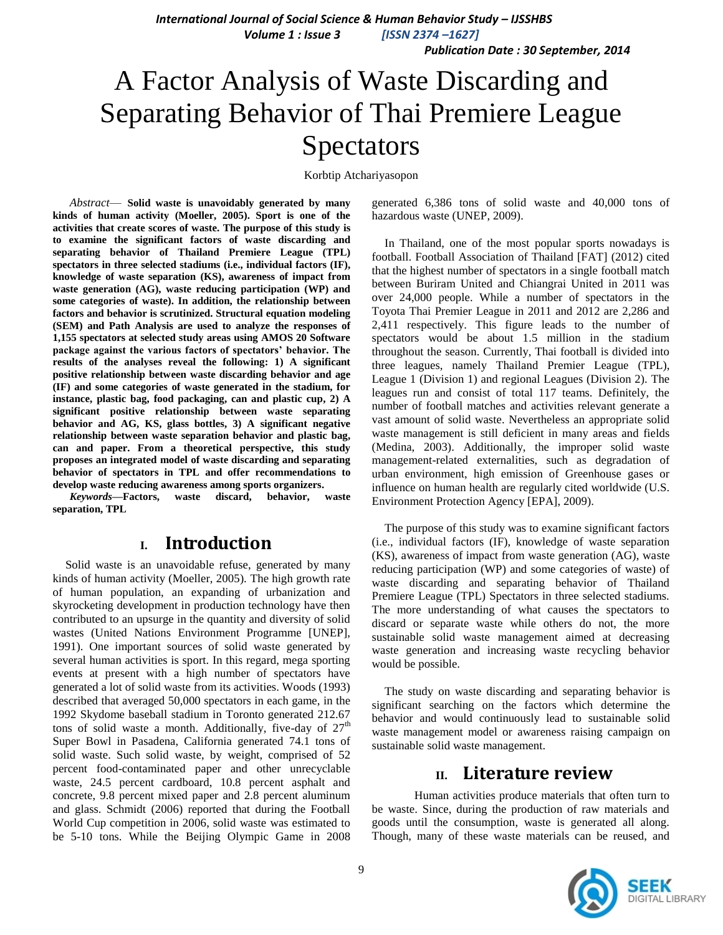*International Journal of Social Science & Human Behavior Study – IJSSHBS Volume 1 : Issue 3 [ISSN 2374 –1627]*

 *Publication Date : 30 September, 2014*

# A Factor Analysis of Waste Discarding and Separating Behavior of Thai Premiere League Spectators

Korbtip Atchariyasopon

*Abstract*— **Solid waste is unavoidably generated by many kinds of human activity (Moeller, 2005). Sport is one of the activities that create scores of waste. The purpose of this study is to examine the significant factors of waste discarding and separating behavior of Thailand Premiere League (TPL) spectators in three selected stadiums (i.e., individual factors (IF), knowledge of waste separation (KS), awareness of impact from waste generation (AG), waste reducing participation (WP) and some categories of waste). In addition, the relationship between factors and behavior is scrutinized. Structural equation modeling (SEM) and Path Analysis are used to analyze the responses of 1,155 spectators at selected study areas using AMOS 20 Software package against the various factors of spectators' behavior. The results of the analyses reveal the following: 1) A significant positive relationship between waste discarding behavior and age (IF) and some categories of waste generated in the stadium, for instance, plastic bag, food packaging, can and plastic cup, 2) A significant positive relationship between waste separating behavior and AG, KS, glass bottles, 3) A significant negative relationship between waste separation behavior and plastic bag, can and paper. From a theoretical perspective, this study proposes an integrated model of waste discarding and separating behavior of spectators in TPL and offer recommendations to develop waste reducing awareness among sports organizers.**

*Keywords—***Factors, waste discard, behavior, waste separation, TPL**

## **I. Introduction**

Solid waste is an unavoidable refuse, generated by many kinds of human activity (Moeller, 2005). The high growth rate of human population, an expanding of urbanization and skyrocketing development in production technology have then contributed to an upsurge in the quantity and diversity of solid wastes (United Nations Environment Programme [UNEP], 1991). One important sources of solid waste generated by several human activities is sport. In this regard, mega sporting events at present with a high number of spectators have generated a lot of solid waste from its activities. Woods (1993) described that averaged 50,000 spectators in each game, in the 1992 Skydome baseball stadium in Toronto generated 212.67 tons of solid waste a month. Additionally, five-day of  $27<sup>th</sup>$ Super Bowl in Pasadena, California generated 74.1 tons of solid waste. Such solid waste, by weight, comprised of 52 percent food-contaminated paper and other unrecyclable waste, 24.5 percent cardboard, 10.8 percent asphalt and concrete, 9.8 percent mixed paper and 2.8 percent aluminum and glass. Schmidt (2006) reported that during the Football World Cup competition in 2006, solid waste was estimated to be 5-10 tons. While the Beijing Olympic Game in 2008 generated 6,386 tons of solid waste and 40,000 tons of hazardous waste (UNEP, 2009).

In Thailand, one of the most popular sports nowadays is football. Football Association of Thailand [FAT] (2012) cited that the highest number of spectators in a single football match between Buriram United and Chiangrai United in 2011 was over 24,000 people. While a number of spectators in the Toyota Thai Premier League in 2011 and 2012 are 2,286 and 2,411 respectively. This figure leads to the number of spectators would be about 1.5 million in the stadium throughout the season. Currently, Thai football is divided into three leagues, namely Thailand Premier League (TPL), League 1 (Division 1) and regional Leagues (Division 2). The leagues run and consist of total 117 teams. Definitely, the number of football matches and activities relevant generate a vast amount of solid waste. Nevertheless an appropriate solid waste management is still deficient in many areas and fields (Medina, 2003). Additionally, the improper solid waste management-related externalities, such as degradation of urban environment, high emission of Greenhouse gases or influence on human health are regularly cited worldwide (U.S. Environment Protection Agency [EPA], 2009).

The purpose of this study was to examine significant factors (i.e., individual factors (IF), knowledge of waste separation (KS), awareness of impact from waste generation (AG), waste reducing participation (WP) and some categories of waste) of waste discarding and separating behavior of Thailand Premiere League (TPL) Spectators in three selected stadiums. The more understanding of what causes the spectators to discard or separate waste while others do not, the more sustainable solid waste management aimed at decreasing waste generation and increasing waste recycling behavior would be possible.

The study on waste discarding and separating behavior is significant searching on the factors which determine the behavior and would continuously lead to sustainable solid waste management model or awareness raising campaign on sustainable solid waste management.

### **II. Literature review**

Human activities produce materials that often turn to be waste. Since, during the production of raw materials and goods until the consumption, waste is generated all along. Though, many of these waste materials can be reused, and

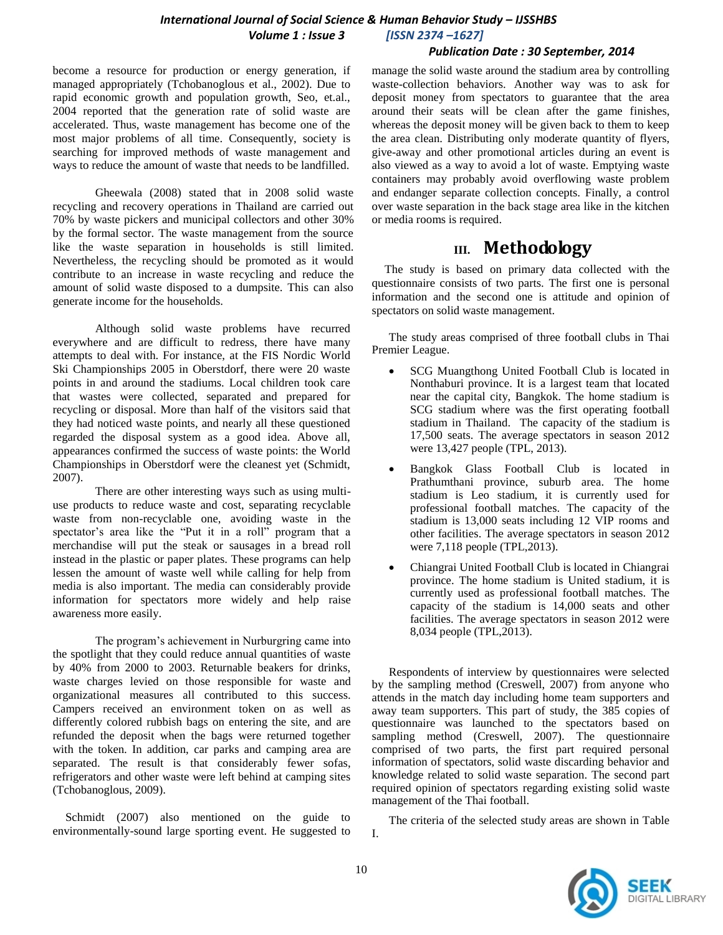*Publication Date : 30 September, 2014*

become a resource for production or energy generation, if managed appropriately (Tchobanoglous et al., 2002). Due to rapid economic growth and population growth, Seo, et.al., 2004 reported that the generation rate of solid waste are accelerated. Thus, waste management has become one of the most major problems of all time. Consequently, society is searching for improved methods of waste management and ways to reduce the amount of waste that needs to be landfilled.

Gheewala (2008) stated that in 2008 solid waste recycling and recovery operations in Thailand are carried out 70% by waste pickers and municipal collectors and other 30% by the formal sector. The waste management from the source like the waste separation in households is still limited. Nevertheless, the recycling should be promoted as it would contribute to an increase in waste recycling and reduce the amount of solid waste disposed to a dumpsite. This can also generate income for the households.

Although solid waste problems have recurred everywhere and are difficult to redress, there have many attempts to deal with. For instance, at the FIS Nordic World Ski Championships 2005 in Oberstdorf, there were 20 waste points in and around the stadiums. Local children took care that wastes were collected, separated and prepared for recycling or disposal. More than half of the visitors said that they had noticed waste points, and nearly all these questioned regarded the disposal system as a good idea. Above all, appearances confirmed the success of waste points: the World Championships in Oberstdorf were the cleanest yet (Schmidt, 2007).

There are other interesting ways such as using multiuse products to reduce waste and cost, separating recyclable waste from non-recyclable one, avoiding waste in the spectator's area like the "Put it in a roll" program that a merchandise will put the steak or sausages in a bread roll instead in the plastic or paper plates. These programs can help lessen the amount of waste well while calling for help from media is also important. The media can considerably provide information for spectators more widely and help raise awareness more easily.

The program's achievement in Nurburgring came into the spotlight that they could reduce annual quantities of waste by 40% from 2000 to 2003. Returnable beakers for drinks, waste charges levied on those responsible for waste and organizational measures all contributed to this success. Campers received an environment token on as well as differently colored rubbish bags on entering the site, and are refunded the deposit when the bags were returned together with the token. In addition, car parks and camping area are separated. The result is that considerably fewer sofas, refrigerators and other waste were left behind at camping sites (Tchobanoglous, 2009).

Schmidt (2007) also mentioned on the guide to environmentally-sound large sporting event. He suggested to manage the solid waste around the stadium area by controlling waste-collection behaviors. Another way was to ask for deposit money from spectators to guarantee that the area around their seats will be clean after the game finishes, whereas the deposit money will be given back to them to keep the area clean. Distributing only moderate quantity of flyers, give-away and other promotional articles during an event is also viewed as a way to avoid a lot of waste. Emptying waste containers may probably avoid overflowing waste problem and endanger separate collection concepts. Finally, a control over waste separation in the back stage area like in the kitchen or media rooms is required.

# **III. Methodology**

The study is based on primary data collected with the questionnaire consists of two parts. The first one is personal information and the second one is attitude and opinion of spectators on solid waste management.

The study areas comprised of three football clubs in Thai Premier League.

- SCG Muangthong United Football Club is located in Nonthaburi province. It is a largest team that located near the capital city, Bangkok. The home stadium is SCG stadium where was the first operating football stadium in Thailand. The capacity of the stadium is 17,500 seats. The average spectators in season 2012 were 13,427 people (TPL, 2013).
- Bangkok Glass Football Club is located in Prathumthani province, suburb area. The home stadium is Leo stadium, it is currently used for professional football matches. The capacity of the stadium is 13,000 seats including 12 VIP rooms and other facilities. The average spectators in season 2012 were 7,118 people (TPL,2013).
- Chiangrai United Football Club is located in Chiangrai province. The home stadium is United stadium, it is currently used as professional football matches. The capacity of the stadium is 14,000 seats and other facilities. The average spectators in season 2012 were 8,034 people (TPL,2013).

Respondents of interview by questionnaires were selected by the sampling method (Creswell, 2007) from anyone who attends in the match day including home team supporters and away team supporters. This part of study, the 385 copies of questionnaire was launched to the spectators based on sampling method (Creswell, 2007). The questionnaire comprised of two parts, the first part required personal information of spectators, solid waste discarding behavior and knowledge related to solid waste separation. The second part required opinion of spectators regarding existing solid waste management of the Thai football.

The criteria of the selected study areas are shown in Table I.

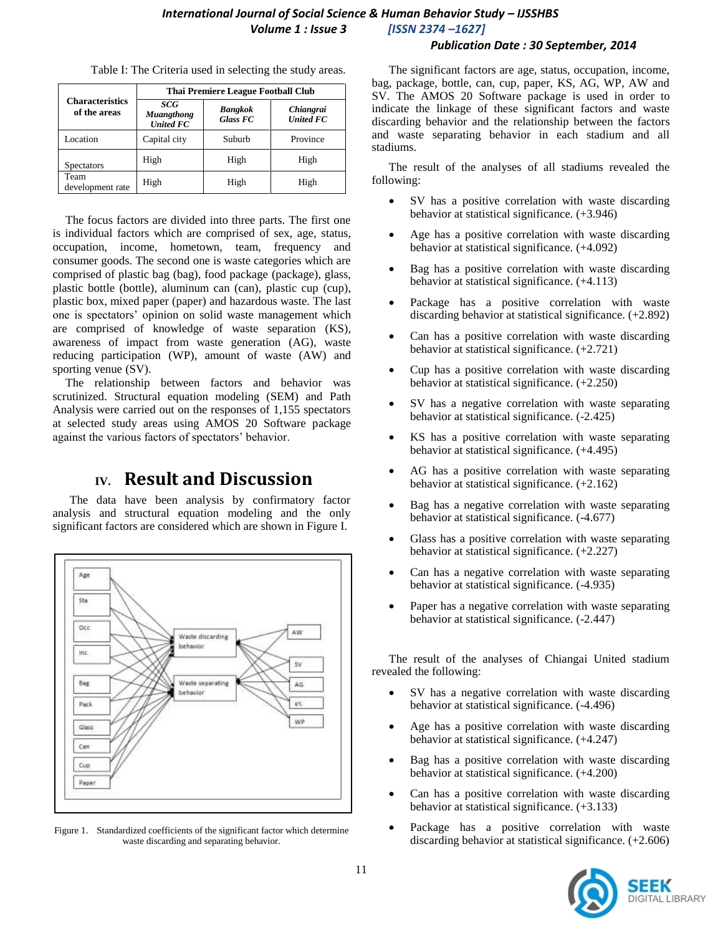## *International Journal of Social Science & Human Behavior Study – IJSSHBS Volume 1 : Issue 3 [ISSN 2374 –1627]*

|                                        | Thai Premiere League Football Club           |                                   |                                      |
|----------------------------------------|----------------------------------------------|-----------------------------------|--------------------------------------|
| <b>Characteristics</b><br>of the areas | SCG<br><b>Muangthong</b><br><b>United FC</b> | <b>Bangkok</b><br><b>Glass FC</b> | <i>Chiangrai</i><br><b>United FC</b> |
| Location                               | Capital city                                 | Suburb                            | Province                             |
| <b>Spectators</b>                      | High                                         | High                              | High                                 |
| Team<br>development rate               | High                                         | High                              | High                                 |

Table I: The Criteria used in selecting the study areas.

The focus factors are divided into three parts. The first one is individual factors which are comprised of sex, age, status, occupation, income, hometown, team, frequency and consumer goods. The second one is waste categories which are comprised of plastic bag (bag), food package (package), glass, plastic bottle (bottle), aluminum can (can), plastic cup (cup), plastic box, mixed paper (paper) and hazardous waste. The last one is spectators' opinion on solid waste management which are comprised of knowledge of waste separation (KS), awareness of impact from waste generation (AG), waste reducing participation (WP), amount of waste (AW) and sporting venue (SV).

The relationship between factors and behavior was scrutinized. Structural equation modeling (SEM) and Path Analysis were carried out on the responses of 1,155 spectators at selected study areas using AMOS 20 Software package against the various factors of spectators' behavior.

## **IV. Result and Discussion**

The data have been analysis by confirmatory factor analysis and structural equation modeling and the only significant factors are considered which are shown in Figure I.



Figure 1. Standardized coefficients of the significant factor which determine waste discarding and separating behavior.

The significant factors are age, status, occupation, income, bag, package, bottle, can, cup, paper, KS, AG, WP, AW and SV. The AMOS 20 Software package is used in order to indicate the linkage of these significant factors and waste discarding behavior and the relationship between the factors and waste separating behavior in each stadium and all stadiums.

The result of the analyses of all stadiums revealed the following:

- SV has a positive correlation with waste discarding behavior at statistical significance. (+3.946)
- Age has a positive correlation with waste discarding behavior at statistical significance. (+4.092)
- Bag has a positive correlation with waste discarding behavior at statistical significance. (+4.113)
- Package has a positive correlation with waste discarding behavior at statistical significance. (+2.892)
- Can has a positive correlation with waste discarding behavior at statistical significance. (+2.721)
- Cup has a positive correlation with waste discarding behavior at statistical significance. (+2.250)
- SV has a negative correlation with waste separating behavior at statistical significance. (-2.425)
- KS has a positive correlation with waste separating behavior at statistical significance. (+4.495)
- AG has a positive correlation with waste separating behavior at statistical significance. (+2.162)
- Bag has a negative correlation with waste separating behavior at statistical significance. (-4.677)
- Glass has a positive correlation with waste separating behavior at statistical significance. (+2.227)
- Can has a negative correlation with waste separating behavior at statistical significance. (-4.935)
- Paper has a negative correlation with waste separating behavior at statistical significance. (-2.447)

The result of the analyses of Chiangai United stadium revealed the following:

- SV has a negative correlation with waste discarding behavior at statistical significance. (-4.496)
- Age has a positive correlation with waste discarding behavior at statistical significance. (+4.247)
- Bag has a positive correlation with waste discarding behavior at statistical significance. (+4.200)
- Can has a positive correlation with waste discarding behavior at statistical significance. (+3.133)
- Package has a positive correlation with waste discarding behavior at statistical significance. (+2.606)

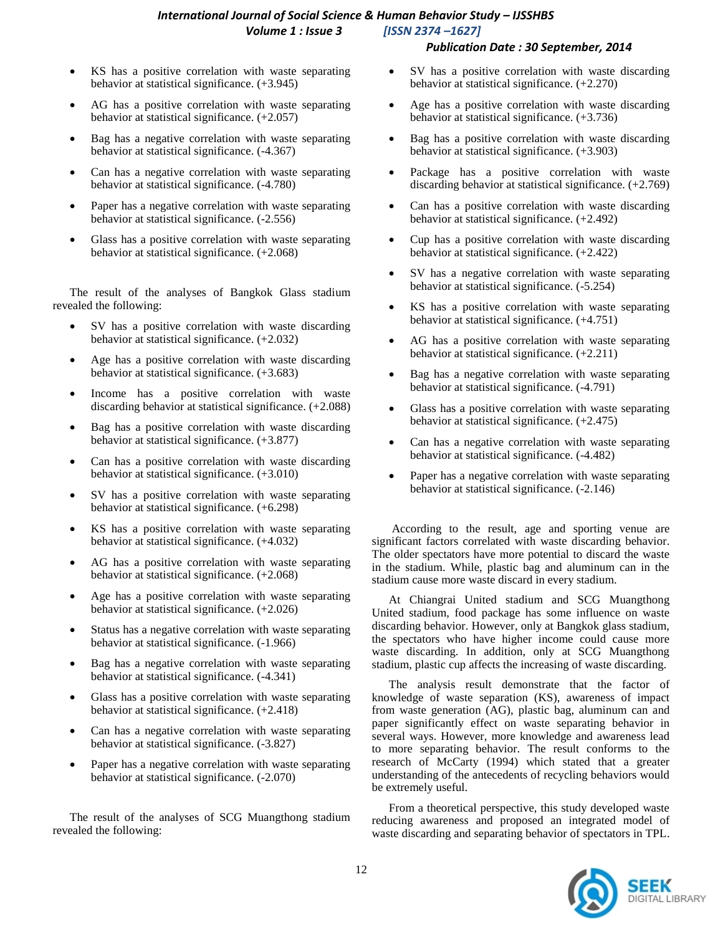#### *International Journal of Social Science & Human Behavior Study – IJSSHBS Volume 1 : Issue 3 [ISSN 2374 –1627]*

#### *Publication Date : 30 September, 2014*

- KS has a positive correlation with waste separating behavior at statistical significance. (+3.945)
- AG has a positive correlation with waste separating behavior at statistical significance. (+2.057)
- Bag has a negative correlation with waste separating behavior at statistical significance. (-4.367)
- Can has a negative correlation with waste separating behavior at statistical significance. (-4.780)
- Paper has a negative correlation with waste separating behavior at statistical significance. (-2.556)
- Glass has a positive correlation with waste separating behavior at statistical significance. (+2.068)

The result of the analyses of Bangkok Glass stadium revealed the following:

- SV has a positive correlation with waste discarding behavior at statistical significance. (+2.032)
- Age has a positive correlation with waste discarding behavior at statistical significance. (+3.683)
- Income has a positive correlation with waste discarding behavior at statistical significance. (+2.088)
- Bag has a positive correlation with waste discarding behavior at statistical significance. (+3.877)
- Can has a positive correlation with waste discarding behavior at statistical significance. (+3.010)
- SV has a positive correlation with waste separating behavior at statistical significance. (+6.298)
- KS has a positive correlation with waste separating behavior at statistical significance. (+4.032)
- AG has a positive correlation with waste separating behavior at statistical significance. (+2.068)
- Age has a positive correlation with waste separating behavior at statistical significance. (+2.026)
- Status has a negative correlation with waste separating behavior at statistical significance. (-1.966)
- Bag has a negative correlation with waste separating behavior at statistical significance. (-4.341)
- Glass has a positive correlation with waste separating behavior at statistical significance. (+2.418)
- Can has a negative correlation with waste separating behavior at statistical significance. (-3.827)
- Paper has a negative correlation with waste separating behavior at statistical significance. (-2.070)

The result of the analyses of SCG Muangthong stadium revealed the following:

- SV has a positive correlation with waste discarding behavior at statistical significance. (+2.270)
- Age has a positive correlation with waste discarding behavior at statistical significance. (+3.736)
- Bag has a positive correlation with waste discarding behavior at statistical significance. (+3.903)
- Package has a positive correlation with waste discarding behavior at statistical significance. (+2.769)
- Can has a positive correlation with waste discarding behavior at statistical significance. (+2.492)
- Cup has a positive correlation with waste discarding behavior at statistical significance. (+2.422)
- SV has a negative correlation with waste separating behavior at statistical significance. (-5.254)
- KS has a positive correlation with waste separating behavior at statistical significance. (+4.751)
- AG has a positive correlation with waste separating behavior at statistical significance. (+2.211)
- Bag has a negative correlation with waste separating behavior at statistical significance. (-4.791)
- Glass has a positive correlation with waste separating behavior at statistical significance. (+2.475)
- Can has a negative correlation with waste separating behavior at statistical significance. (-4.482)
- Paper has a negative correlation with waste separating behavior at statistical significance. (-2.146)

According to the result, age and sporting venue are significant factors correlated with waste discarding behavior. The older spectators have more potential to discard the waste in the stadium. While, plastic bag and aluminum can in the stadium cause more waste discard in every stadium.

At Chiangrai United stadium and SCG Muangthong United stadium, food package has some influence on waste discarding behavior. However, only at Bangkok glass stadium, the spectators who have higher income could cause more waste discarding. In addition, only at SCG Muangthong stadium, plastic cup affects the increasing of waste discarding.

The analysis result demonstrate that the factor of knowledge of waste separation (KS), awareness of impact from waste generation (AG), plastic bag, aluminum can and paper significantly effect on waste separating behavior in several ways. However, more knowledge and awareness lead to more separating behavior. The result conforms to the research of McCarty (1994) which stated that a greater understanding of the antecedents of recycling behaviors would be extremely useful.

From a theoretical perspective, this study developed waste reducing awareness and proposed an integrated model of waste discarding and separating behavior of spectators in TPL.